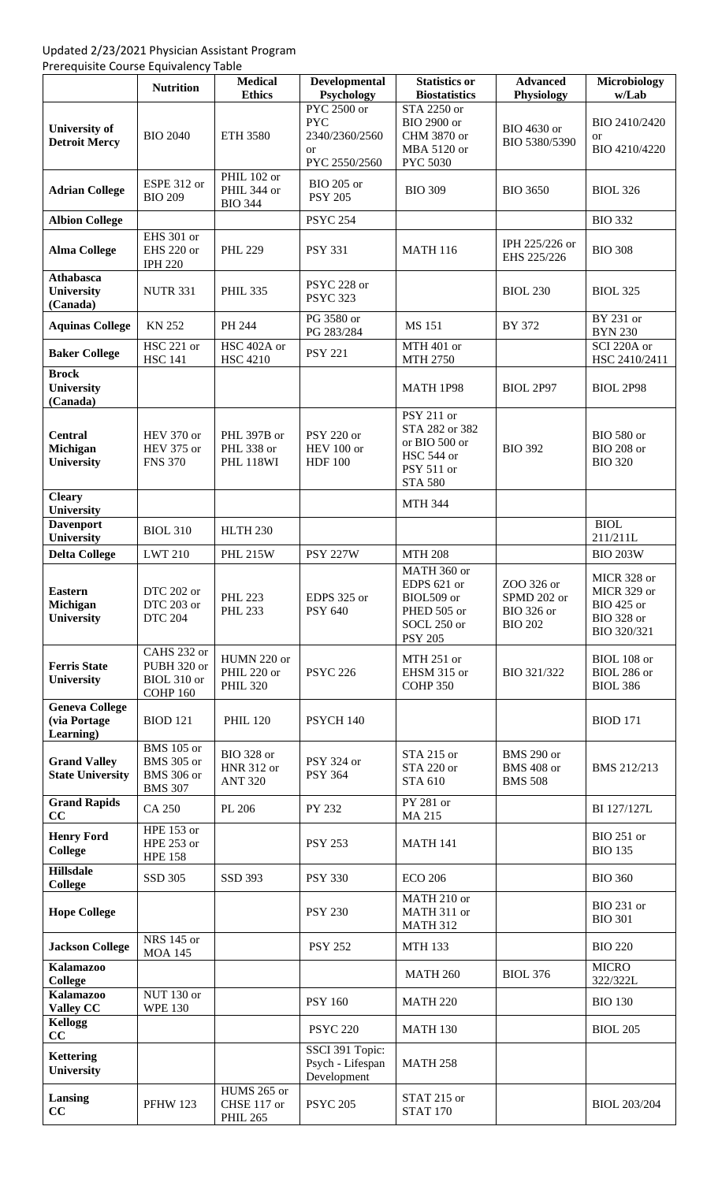## Updated 2/23/2021 Physician Assistant Program

Prerequisite Course Equivalency Table

|                                                    | <b>Nutrition</b>                                                              | <b>Medical</b><br><b>Ethics</b>                          | Developmental<br>Psychology                        | <b>Statistics or</b><br><b>Biostatistics</b>                                                  | <b>Advanced</b><br>Physiology                                    | <b>Microbiology</b><br>w/Lab                                                        |
|----------------------------------------------------|-------------------------------------------------------------------------------|----------------------------------------------------------|----------------------------------------------------|-----------------------------------------------------------------------------------------------|------------------------------------------------------------------|-------------------------------------------------------------------------------------|
|                                                    |                                                                               |                                                          | PYC 2500 or                                        | STA 2250 or                                                                                   |                                                                  |                                                                                     |
| <b>University of</b><br><b>Detroit Mercy</b>       | <b>BIO 2040</b>                                                               | <b>ETH 3580</b>                                          | <b>PYC</b><br>2340/2360/2560<br><sub>or</sub>      | <b>BIO 2900 or</b><br>CHM 3870 or<br>MBA 5120 or                                              | BIO 4630 or<br>BIO 5380/5390                                     | BIO 2410/2420<br>or<br>BIO 4210/4220                                                |
|                                                    |                                                                               |                                                          | PYC 2550/2560                                      | PYC 5030                                                                                      |                                                                  |                                                                                     |
| <b>Adrian College</b>                              | ESPE 312 or<br><b>BIO 209</b>                                                 | <b>PHIL 102 or</b><br>PHIL 344 or<br><b>BIO 344</b>      | <b>BIO 205 or</b><br><b>PSY 205</b>                | <b>BIO 309</b>                                                                                | <b>BIO 3650</b>                                                  | <b>BIOL 326</b>                                                                     |
| <b>Albion College</b>                              |                                                                               |                                                          | <b>PSYC 254</b>                                    |                                                                                               |                                                                  | <b>BIO 332</b>                                                                      |
| <b>Alma College</b>                                | EHS 301 or<br>EHS 220 or<br><b>IPH 220</b>                                    | <b>PHL 229</b>                                           | <b>PSY 331</b>                                     | <b>MATH 116</b>                                                                               | IPH 225/226 or<br>EHS 225/226                                    | <b>BIO 308</b>                                                                      |
| <b>Athabasca</b><br>University<br>(Canada)         | <b>NUTR 331</b>                                                               | <b>PHIL 335</b>                                          | PSYC 228 or<br><b>PSYC 323</b>                     |                                                                                               | <b>BIOL 230</b>                                                  | <b>BIOL 325</b>                                                                     |
| <b>Aquinas College</b>                             | <b>KN 252</b>                                                                 | PH 244                                                   | PG 3580 or<br>PG 283/284                           | <b>MS 151</b>                                                                                 | BY 372                                                           | BY 231 or<br><b>BYN 230</b>                                                         |
| <b>Baker College</b>                               | HSC 221 or<br><b>HSC 141</b>                                                  | HSC 402A or<br><b>HSC 4210</b>                           | <b>PSY 221</b>                                     | MTH 401 or<br><b>MTH 2750</b>                                                                 |                                                                  | SCI 220A or<br>HSC 2410/2411                                                        |
| <b>Brock</b><br><b>University</b><br>(Canada)      |                                                                               |                                                          |                                                    | <b>MATH 1P98</b>                                                                              | <b>BIOL 2P97</b>                                                 | <b>BIOL 2P98</b>                                                                    |
| <b>Central</b><br>Michigan<br><b>University</b>    | HEV 370 or<br>HEV 375 or<br><b>FNS 370</b>                                    | PHL 397B or<br>PHL 338 or<br><b>PHL 118WI</b>            | <b>PSY 220 or</b><br>HEV 100 or<br><b>HDF 100</b>  | $PSY 211$ or<br>STA 282 or 382<br>or BIO 500 or<br>HSC 544 or<br>PSY 511 or<br><b>STA 580</b> | <b>BIO 392</b>                                                   | <b>BIO 580 or</b><br><b>BIO 208 or</b><br><b>BIO 320</b>                            |
| <b>Cleary</b><br><b>University</b>                 |                                                                               |                                                          |                                                    | <b>MTH 344</b>                                                                                |                                                                  |                                                                                     |
| <b>Davenport</b><br>University                     | <b>BIOL 310</b>                                                               | <b>HLTH 230</b>                                          |                                                    |                                                                                               |                                                                  | <b>BIOL</b><br>211/211L                                                             |
| <b>Delta College</b>                               | <b>LWT 210</b>                                                                | <b>PHL 215W</b>                                          | <b>PSY 227W</b>                                    | <b>MTH 208</b>                                                                                |                                                                  | <b>BIO 203W</b>                                                                     |
| <b>Eastern</b><br>Michigan<br><b>University</b>    | DTC 202 or<br>DTC 203 or<br><b>DTC 204</b>                                    | <b>PHL 223</b><br><b>PHL 233</b>                         | EDPS 325 or<br><b>PSY 640</b>                      | MATH 360 or<br>EDPS 621 or<br>BIOL509 or<br>PHED 505 or<br>SOCL 250 or<br><b>PSY 205</b>      | ZOO 326 or<br>SPMD 202 or<br><b>BIO 326 or</b><br><b>BIO 202</b> | MICR 328 or<br>MICR 329 or<br><b>BIO 425 or</b><br><b>BIO 328 or</b><br>BIO 320/321 |
| <b>Ferris State</b><br>University                  | CAHS 232 or<br>PUBH 320 or<br>BIOL 310 or<br><b>COHP 160</b>                  | HUMN 220 or<br>PHIL 220 or<br><b>PHIL 320</b>            | <b>PSYC 226</b>                                    | MTH 251 or<br>EHSM 315 or<br><b>COHP 350</b>                                                  | BIO 321/322                                                      | BIOL 108 or<br>BIOL 286 or<br><b>BIOL 386</b>                                       |
| <b>Geneva College</b><br>(via Portage<br>Learning) | <b>BIOD 121</b>                                                               | <b>PHIL 120</b>                                          | PSYCH 140                                          |                                                                                               |                                                                  | <b>BIOD 171</b>                                                                     |
| <b>Grand Valley</b><br><b>State University</b>     | <b>BMS</b> 105 or<br><b>BMS</b> 305 or<br><b>BMS</b> 306 or<br><b>BMS 307</b> | <b>BIO 328 or</b><br><b>HNR 312 or</b><br><b>ANT 320</b> | PSY 324 or<br><b>PSY 364</b>                       | STA 215 or<br>STA 220 or<br><b>STA 610</b>                                                    | <b>BMS 290 or</b><br><b>BMS 408 or</b><br><b>BMS 508</b>         | BMS 212/213                                                                         |
| <b>Grand Rapids</b><br>CC                          | CA 250                                                                        | PL 206                                                   | PY 232                                             | PY 281 or<br><b>MA 215</b>                                                                    |                                                                  | BI 127/127L                                                                         |
| <b>Henry Ford</b><br><b>College</b>                | HPE 153 or<br>HPE 253 or<br><b>HPE 158</b>                                    |                                                          | <b>PSY 253</b>                                     | <b>MATH 141</b>                                                                               |                                                                  | <b>BIO 251 or</b><br><b>BIO 135</b>                                                 |
| <b>Hillsdale</b><br><b>College</b>                 | <b>SSD 305</b>                                                                | <b>SSD 393</b>                                           | <b>PSY 330</b>                                     | <b>ECO 206</b>                                                                                |                                                                  | <b>BIO 360</b>                                                                      |
| <b>Hope College</b>                                |                                                                               |                                                          | <b>PSY 230</b>                                     | MATH 210 or<br>MATH 311 or<br><b>MATH 312</b>                                                 |                                                                  | <b>BIO 231 or</b><br><b>BIO 301</b>                                                 |
| <b>Jackson College</b>                             | NRS 145 or<br><b>MOA 145</b>                                                  |                                                          | <b>PSY 252</b>                                     | <b>MTH 133</b>                                                                                |                                                                  | <b>BIO 220</b>                                                                      |
| <b>Kalamazoo</b><br><b>College</b>                 |                                                                               |                                                          |                                                    | <b>MATH 260</b>                                                                               | <b>BIOL 376</b>                                                  | <b>MICRO</b><br>322/322L                                                            |
| <b>Kalamazoo</b><br><b>Valley CC</b>               | <b>NUT 130 or</b><br><b>WPE 130</b>                                           |                                                          | <b>PSY 160</b>                                     | <b>MATH 220</b>                                                                               |                                                                  | <b>BIO 130</b>                                                                      |
| <b>Kellogg</b><br>CC                               |                                                                               |                                                          | <b>PSYC 220</b>                                    | <b>MATH 130</b>                                                                               |                                                                  | <b>BIOL 205</b>                                                                     |
| <b>Kettering</b><br>University                     |                                                                               |                                                          | SSCI 391 Topic:<br>Psych - Lifespan<br>Development | <b>MATH 258</b>                                                                               |                                                                  |                                                                                     |
| Lansing<br>CC                                      | <b>PFHW 123</b>                                                               | HUMS 265 or<br>CHSE 117 or<br><b>PHIL 265</b>            | <b>PSYC 205</b>                                    | STAT 215 or<br><b>STAT 170</b>                                                                |                                                                  | <b>BIOL 203/204</b>                                                                 |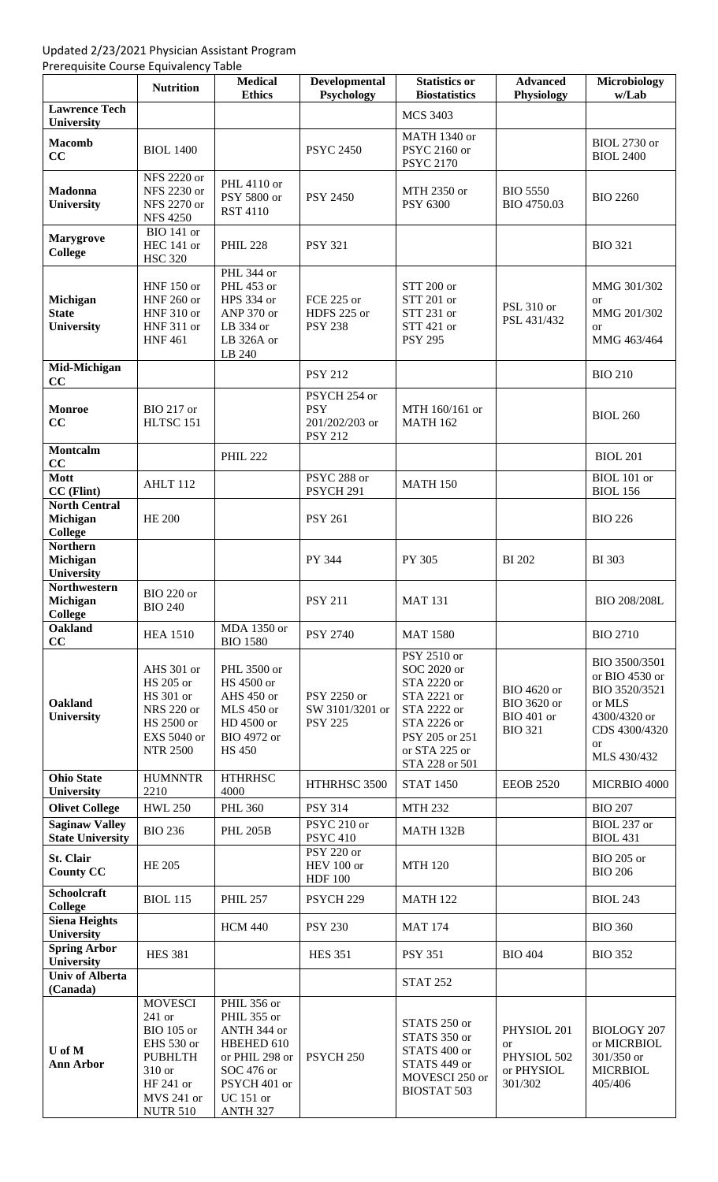## Updated 2/23/2021 Physician Assistant Program

Prerequisite Course Equivalency Table

|                                                    | <b>Nutrition</b>                                                                                                                      | <b>Medical</b><br><b>Ethics</b>                                                                                                         | <b>Developmental</b><br>Psychology                             | <b>Statistics or</b><br><b>Biostatistics</b>                                                                                                | <b>Advanced</b><br>Physiology                                     | Microbiology<br>w/Lab                                                                                                   |
|----------------------------------------------------|---------------------------------------------------------------------------------------------------------------------------------------|-----------------------------------------------------------------------------------------------------------------------------------------|----------------------------------------------------------------|---------------------------------------------------------------------------------------------------------------------------------------------|-------------------------------------------------------------------|-------------------------------------------------------------------------------------------------------------------------|
| <b>Lawrence Tech</b><br>University                 |                                                                                                                                       |                                                                                                                                         |                                                                | <b>MCS 3403</b>                                                                                                                             |                                                                   |                                                                                                                         |
| <b>Macomb</b><br>CC                                | <b>BIOL 1400</b>                                                                                                                      |                                                                                                                                         | <b>PSYC 2450</b>                                               | MATH 1340 or<br>PSYC 2160 or<br><b>PSYC 2170</b>                                                                                            |                                                                   | <b>BIOL 2730 or</b><br><b>BIOL 2400</b>                                                                                 |
| <b>Madonna</b><br><b>University</b>                | NFS 2220 or<br>NFS 2230 or<br>NFS 2270 or<br><b>NFS 4250</b>                                                                          | PHL 4110 or<br>PSY 5800 or<br><b>RST 4110</b>                                                                                           | <b>PSY 2450</b>                                                | MTH 2350 or<br>PSY 6300                                                                                                                     | <b>BIO 5550</b><br>BIO 4750.03                                    | <b>BIO 2260</b>                                                                                                         |
| <b>Marygrove</b><br><b>College</b>                 | <b>BIO</b> 141 or<br>HEC 141 or<br><b>HSC 320</b>                                                                                     | <b>PHIL 228</b>                                                                                                                         | <b>PSY 321</b>                                                 |                                                                                                                                             |                                                                   | <b>BIO 321</b>                                                                                                          |
| Michigan<br><b>State</b><br>University             | <b>HNF 150 or</b><br><b>HNF 260 or</b><br><b>HNF 310 or</b><br><b>HNF 311 or</b><br><b>HNF461</b>                                     | PHL 344 or<br>PHL 453 or<br>HPS 334 or<br>ANP 370 or<br>LB 334 or<br>LB 326A or<br>LB 240                                               | FCE 225 or<br>HDFS 225 or<br><b>PSY 238</b>                    | STT 200 or<br>STT 201 or<br>STT 231 or<br>STT 421 or<br><b>PSY 295</b>                                                                      | PSL 310 or<br>PSL 431/432                                         | MMG 301/302<br><b>or</b><br>MMG 201/302<br><sub>or</sub><br>MMG 463/464                                                 |
| Mid-Michigan<br>CC                                 |                                                                                                                                       |                                                                                                                                         | <b>PSY 212</b>                                                 |                                                                                                                                             |                                                                   | <b>BIO 210</b>                                                                                                          |
| <b>Monroe</b><br>CC                                | <b>BIO 217 or</b><br>HLTSC 151                                                                                                        |                                                                                                                                         | PSYCH 254 or<br><b>PSY</b><br>201/202/203 or<br><b>PSY 212</b> | MTH 160/161 or<br><b>MATH 162</b>                                                                                                           |                                                                   | <b>BIOL 260</b>                                                                                                         |
| <b>Montcalm</b><br>CC                              |                                                                                                                                       | <b>PHIL 222</b>                                                                                                                         |                                                                |                                                                                                                                             |                                                                   | <b>BIOL 201</b>                                                                                                         |
| <b>Mott</b><br>CC (Flint)                          | AHLT <sub>112</sub>                                                                                                                   |                                                                                                                                         | PSYC 288 or<br>PSYCH <sub>291</sub>                            | <b>MATH 150</b>                                                                                                                             |                                                                   | BIOL 101 or<br><b>BIOL 156</b>                                                                                          |
| <b>North Central</b><br>Michigan<br><b>College</b> | <b>HE 200</b>                                                                                                                         |                                                                                                                                         | <b>PSY 261</b>                                                 |                                                                                                                                             |                                                                   | <b>BIO 226</b>                                                                                                          |
| <b>Northern</b><br>Michigan<br>University          |                                                                                                                                       |                                                                                                                                         | PY 344                                                         | PY 305                                                                                                                                      | <b>BI</b> 202                                                     | <b>BI</b> 303                                                                                                           |
| <b>Northwestern</b><br>Michigan<br><b>College</b>  | <b>BIO 220 or</b><br><b>BIO 240</b>                                                                                                   |                                                                                                                                         | <b>PSY 211</b>                                                 | <b>MAT 131</b>                                                                                                                              |                                                                   | <b>BIO 208/208L</b>                                                                                                     |
| <b>Oakland</b><br>CC                               | <b>HEA 1510</b>                                                                                                                       | MDA 1350 or<br><b>BIO 1580</b>                                                                                                          | <b>PSY 2740</b>                                                | <b>MAT 1580</b>                                                                                                                             |                                                                   | <b>BIO 2710</b>                                                                                                         |
| <b>Oakland</b><br><b>University</b>                | AHS 301 or<br>HS 205 or<br>HS 301 or<br><b>NRS 220 or</b><br>HS 2500 or<br>EXS 5040 or<br><b>NTR 2500</b>                             | PHL 3500 or<br>HS 4500 or<br>AHS 450 or<br>MLS 450 or<br>HD 4500 or<br>BIO 4972 or<br><b>HS 450</b>                                     | PSY 2250 or<br>SW 3101/3201 or<br><b>PSY 225</b>               | PSY 2510 or<br>SOC 2020 or<br>STA 2220 or<br>STA 2221 or<br>STA 2222 or<br>STA 2226 or<br>PSY 205 or 251<br>or STA 225 or<br>STA 228 or 501 | BIO 4620 or<br>BIO 3620 or<br><b>BIO 401 or</b><br><b>BIO 321</b> | BIO 3500/3501<br>or BIO 4530 or<br>BIO 3520/3521<br>or MLS<br>4300/4320 or<br>CDS 4300/4320<br><b>or</b><br>MLS 430/432 |
| <b>Ohio State</b><br>University                    | <b>HUMNNTR</b><br>2210                                                                                                                | <b>HTHRHSC</b><br>4000                                                                                                                  | HTHRHSC 3500                                                   | <b>STAT 1450</b>                                                                                                                            | <b>EEOB 2520</b>                                                  | MICRBIO 4000                                                                                                            |
| <b>Olivet College</b>                              | <b>HWL 250</b>                                                                                                                        | <b>PHL 360</b>                                                                                                                          | <b>PSY 314</b>                                                 | <b>MTH 232</b>                                                                                                                              |                                                                   | <b>BIO 207</b>                                                                                                          |
| <b>Saginaw Valley</b><br><b>State University</b>   | <b>BIO 236</b>                                                                                                                        | <b>PHL 205B</b>                                                                                                                         | PSYC 210 or<br><b>PSYC 410</b>                                 | MATH 132B                                                                                                                                   |                                                                   | BIOL 237 or<br><b>BIOL 431</b>                                                                                          |
| St. Clair<br><b>County CC</b>                      | <b>HE 205</b>                                                                                                                         |                                                                                                                                         | PSY 220 or<br>HEV 100 or<br><b>HDF 100</b>                     | <b>MTH 120</b>                                                                                                                              |                                                                   | BIO 205 or<br><b>BIO 206</b>                                                                                            |
| <b>Schoolcraft</b><br><b>College</b>               | <b>BIOL 115</b>                                                                                                                       | <b>PHIL 257</b>                                                                                                                         | PSYCH <sub>229</sub>                                           | <b>MATH 122</b>                                                                                                                             |                                                                   | <b>BIOL 243</b>                                                                                                         |
| <b>Siena Heights</b><br>University                 |                                                                                                                                       | <b>HCM 440</b>                                                                                                                          | <b>PSY 230</b>                                                 | <b>MAT 174</b>                                                                                                                              |                                                                   | <b>BIO 360</b>                                                                                                          |
| <b>Spring Arbor</b><br>University                  | <b>HES 381</b>                                                                                                                        |                                                                                                                                         | <b>HES 351</b>                                                 | <b>PSY 351</b>                                                                                                                              | <b>BIO 404</b>                                                    | <b>BIO 352</b>                                                                                                          |
| <b>Univ of Alberta</b><br>(Canada)                 |                                                                                                                                       |                                                                                                                                         |                                                                | <b>STAT 252</b>                                                                                                                             |                                                                   |                                                                                                                         |
| U of M<br><b>Ann Arbor</b>                         | <b>MOVESCI</b><br>241 or<br><b>BIO</b> 105 or<br>EHS 530 or<br><b>PUBHLTH</b><br>310 or<br>HF 241 or<br>MVS 241 or<br><b>NUTR 510</b> | PHIL 356 or<br>PHIL 355 or<br>ANTH 344 or<br>HBEHED 610<br>or PHIL 298 or<br>SOC 476 or<br>PSYCH 401 or<br><b>UC</b> 151 or<br>ANTH 327 | PSYCH <sub>250</sub>                                           | STATS 250 or<br>STATS 350 or<br>STATS 400 or<br>STATS 449 or<br>MOVESCI 250 or<br><b>BIOSTAT 503</b>                                        | PHYSIOL 201<br><b>or</b><br>PHYSIOL 502<br>or PHYSIOL<br>301/302  | <b>BIOLOGY 207</b><br>or MICRBIOL<br>301/350 or<br><b>MICRBIOL</b><br>405/406                                           |